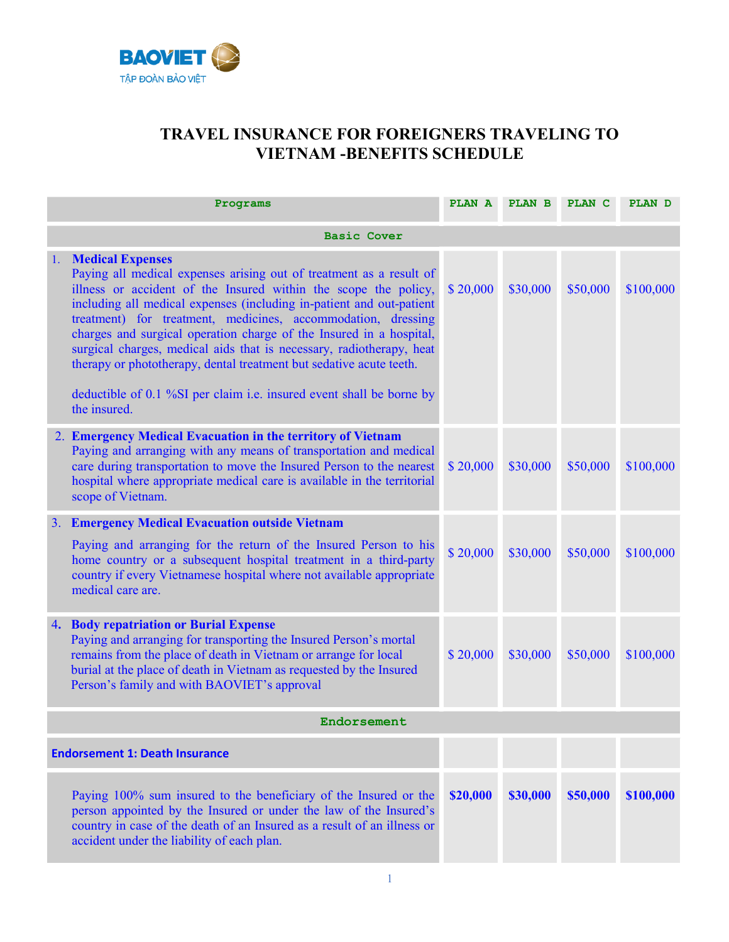

## TRAVEL INSURANCE FOR FOREIGNERS TRAVELING TO VIETNAM -BENEFITS SCHEDULE

|                    | Programs                                                                                                                                                                                                                                                                                                                                                                                                                                                                                                                                                                                                                | PLAN A PLAN B |          | <b>PLAN C</b> | <b>PLAN D</b> |  |  |  |  |
|--------------------|-------------------------------------------------------------------------------------------------------------------------------------------------------------------------------------------------------------------------------------------------------------------------------------------------------------------------------------------------------------------------------------------------------------------------------------------------------------------------------------------------------------------------------------------------------------------------------------------------------------------------|---------------|----------|---------------|---------------|--|--|--|--|
| <b>Basic Cover</b> |                                                                                                                                                                                                                                                                                                                                                                                                                                                                                                                                                                                                                         |               |          |               |               |  |  |  |  |
| 1.                 | <b>Medical Expenses</b><br>Paying all medical expenses arising out of treatment as a result of<br>illness or accident of the Insured within the scope the policy,<br>including all medical expenses (including in-patient and out-patient<br>treatment) for treatment, medicines, accommodation, dressing<br>charges and surgical operation charge of the Insured in a hospital,<br>surgical charges, medical aids that is necessary, radiotherapy, heat<br>therapy or phototherapy, dental treatment but sedative acute teeth.<br>deductible of 0.1 %SI per claim i.e. insured event shall be borne by<br>the insured. | \$20,000      | \$30,000 | \$50,000      | \$100,000     |  |  |  |  |
|                    | 2. Emergency Medical Evacuation in the territory of Vietnam<br>Paying and arranging with any means of transportation and medical<br>care during transportation to move the Insured Person to the nearest<br>hospital where appropriate medical care is available in the territorial<br>scope of Vietnam.                                                                                                                                                                                                                                                                                                                | \$20,000      | \$30,000 | \$50,000      | \$100,000     |  |  |  |  |
|                    | 3. Emergency Medical Evacuation outside Vietnam<br>Paying and arranging for the return of the Insured Person to his<br>home country or a subsequent hospital treatment in a third-party<br>country if every Vietnamese hospital where not available appropriate<br>medical care are.                                                                                                                                                                                                                                                                                                                                    | \$20,000      | \$30,000 | \$50,000      | \$100,000     |  |  |  |  |
| 4.                 | <b>Body repatriation or Burial Expense</b><br>Paying and arranging for transporting the Insured Person's mortal<br>remains from the place of death in Vietnam or arrange for local<br>burial at the place of death in Vietnam as requested by the Insured<br>Person's family and with BAOVIET's approval                                                                                                                                                                                                                                                                                                                | \$20,000      | \$30,000 | \$50,000      | \$100,000     |  |  |  |  |
|                    | Endorsement                                                                                                                                                                                                                                                                                                                                                                                                                                                                                                                                                                                                             |               |          |               |               |  |  |  |  |
|                    | <b>Endorsement 1: Death Insurance</b>                                                                                                                                                                                                                                                                                                                                                                                                                                                                                                                                                                                   |               |          |               |               |  |  |  |  |
|                    | Paying 100% sum insured to the beneficiary of the Insured or the<br>person appointed by the Insured or under the law of the Insured's<br>country in case of the death of an Insured as a result of an illness or<br>accident under the liability of each plan.                                                                                                                                                                                                                                                                                                                                                          | \$20,000      | \$30,000 | \$50,000      | \$100,000     |  |  |  |  |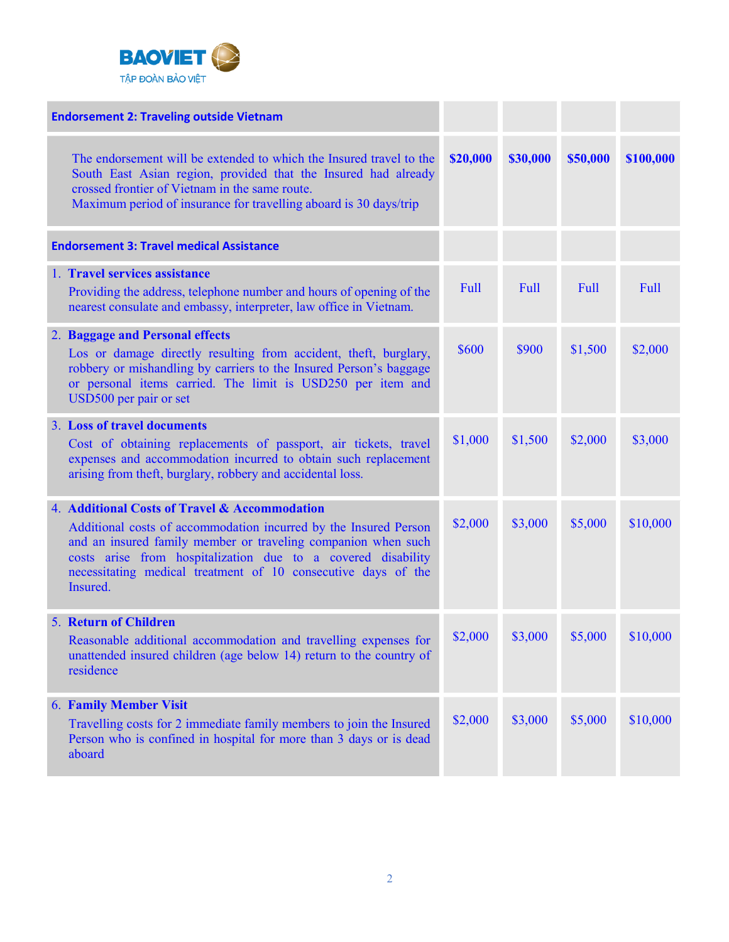

| <b>Endorsement 2: Traveling outside Vietnam</b>                                                                                                                                                                                                                                                                                 |          |             |             |           |
|---------------------------------------------------------------------------------------------------------------------------------------------------------------------------------------------------------------------------------------------------------------------------------------------------------------------------------|----------|-------------|-------------|-----------|
| The endorsement will be extended to which the Insured travel to the<br>South East Asian region, provided that the Insured had already<br>crossed frontier of Vietnam in the same route.<br>Maximum period of insurance for travelling aboard is 30 days/trip                                                                    | \$20,000 | \$30,000    | \$50,000    | \$100,000 |
| <b>Endorsement 3: Travel medical Assistance</b>                                                                                                                                                                                                                                                                                 |          |             |             |           |
| 1. Travel services assistance<br>Providing the address, telephone number and hours of opening of the<br>nearest consulate and embassy, interpreter, law office in Vietnam.                                                                                                                                                      | Full     | <b>Full</b> | <b>Full</b> | Full      |
| 2. Baggage and Personal effects<br>Los or damage directly resulting from accident, theft, burglary,<br>robbery or mishandling by carriers to the Insured Person's baggage<br>or personal items carried. The limit is USD250 per item and<br>USD500 per pair or set                                                              | \$600    | \$900       | \$1,500     | \$2,000   |
| 3. Loss of travel documents<br>Cost of obtaining replacements of passport, air tickets, travel<br>expenses and accommodation incurred to obtain such replacement<br>arising from theft, burglary, robbery and accidental loss.                                                                                                  | \$1,000  | \$1,500     | \$2,000     | \$3,000   |
| 4. Additional Costs of Travel & Accommodation<br>Additional costs of accommodation incurred by the Insured Person<br>and an insured family member or traveling companion when such<br>costs arise from hospitalization due to a covered disability<br>necessitating medical treatment of 10 consecutive days of the<br>Insured. | \$2,000  | \$3,000     | \$5,000     | \$10,000  |
| <b>5. Return of Children</b><br>Reasonable additional accommodation and travelling expenses for<br>unattended insured children (age below 14) return to the country of<br>residence                                                                                                                                             | \$2,000  | \$3,000     | \$5,000     | \$10,000  |
| <b>6. Family Member Visit</b><br>Travelling costs for 2 immediate family members to join the Insured<br>Person who is confined in hospital for more than 3 days or is dead<br>aboard                                                                                                                                            | \$2,000  | \$3,000     | \$5,000     | \$10,000  |